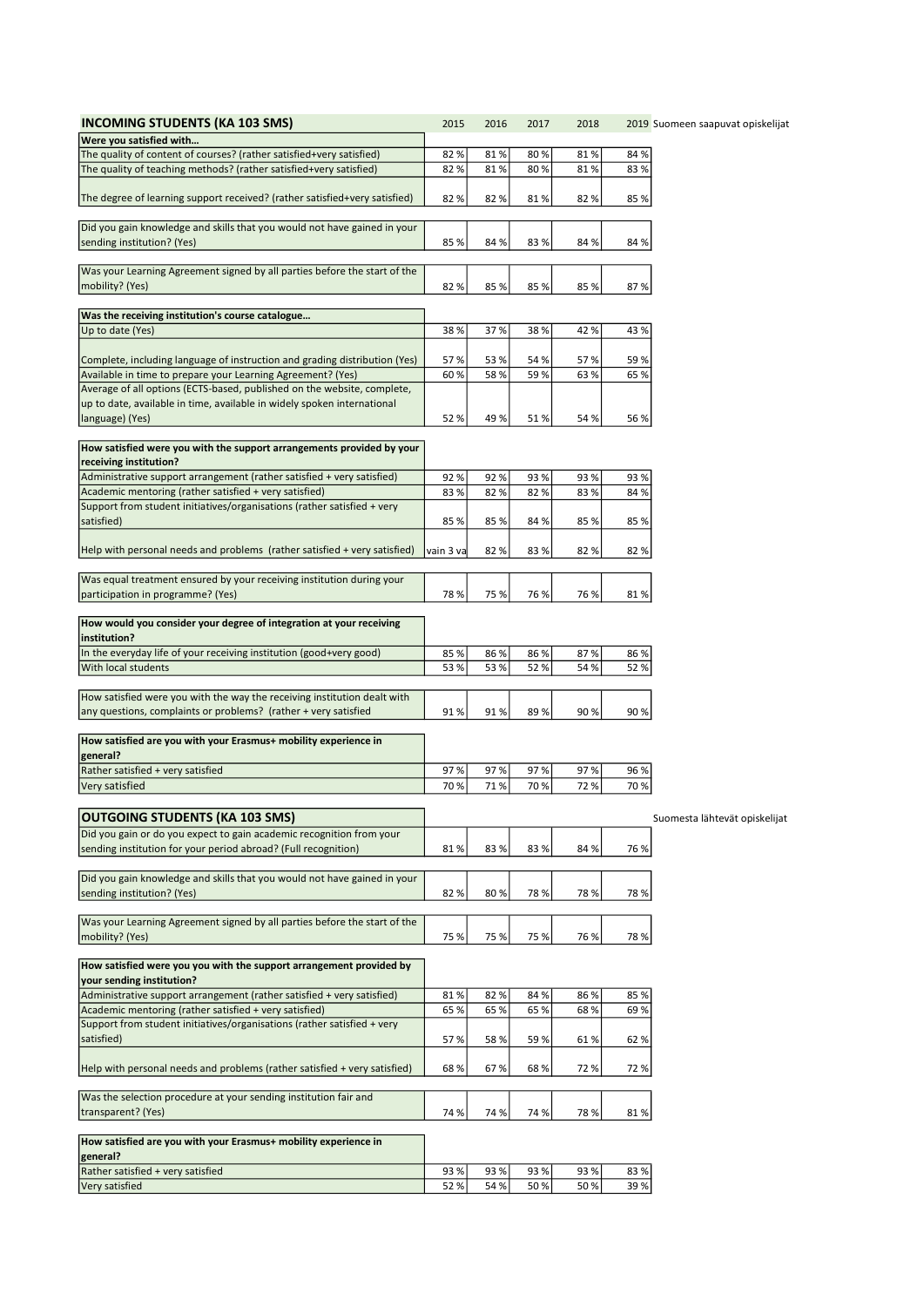| <b>INCOMING STUDENTS (KA 103 SMS)</b>                                      | 2015      | 2016 | 2017 | 2018 |      | 2019 Suomeen saapuvat opiskelijat |
|----------------------------------------------------------------------------|-----------|------|------|------|------|-----------------------------------|
| Were you satisfied with                                                    |           |      |      |      |      |                                   |
| The quality of content of courses? (rather satisfied+very satisfied)       | 82%       | 81%  | 80%  | 81%  | 84%  |                                   |
| The quality of teaching methods? (rather satisfied+very satisfied)         | 82%       | 81%  | 80%  | 81%  | 83%  |                                   |
|                                                                            |           |      |      |      |      |                                   |
| The degree of learning support received? (rather satisfied+very satisfied) | 82%       | 82%  | 81%  | 82%  | 85%  |                                   |
|                                                                            |           |      |      |      |      |                                   |
| Did you gain knowledge and skills that you would not have gained in your   |           |      |      |      |      |                                   |
| sending institution? (Yes)                                                 | 85%       | 84 % | 83%  | 84 % | 84 % |                                   |
| Was your Learning Agreement signed by all parties before the start of the  |           |      |      |      |      |                                   |
| mobility? (Yes)                                                            | 82%       | 85%  | 85%  | 85 % | 87%  |                                   |
|                                                                            |           |      |      |      |      |                                   |
| Was the receiving institution's course catalogue                           |           |      |      |      |      |                                   |
| Up to date (Yes)                                                           | 38%       | 37%  | 38%  | 42 % | 43 % |                                   |
|                                                                            |           |      |      |      |      |                                   |
| Complete, including language of instruction and grading distribution (Yes) | 57%       | 53 % | 54 % | 57%  | 59%  |                                   |
| Available in time to prepare your Learning Agreement? (Yes)                | 60%       | 58%  | 59%  | 63 % | 65%  |                                   |
| Average of all options (ECTS-based, published on the website, complete,    |           |      |      |      |      |                                   |
| up to date, available in time, available in widely spoken international    |           |      |      |      |      |                                   |
| language) (Yes)                                                            | 52 %      | 49 % | 51%  | 54 % | 56 % |                                   |
|                                                                            |           |      |      |      |      |                                   |
| How satisfied were you with the support arrangements provided by your      |           |      |      |      |      |                                   |
| receiving institution?                                                     |           |      |      |      |      |                                   |
| Administrative support arrangement (rather satisfied + very satisfied)     | 92%       | 92%  | 93%  | 93 % | 93%  |                                   |
| Academic mentoring (rather satisfied + very satisfied)                     | 83%       | 82%  | 82%  | 83%  | 84 % |                                   |
| Support from student initiatives/organisations (rather satisfied + very    |           |      |      |      |      |                                   |
| satisfied)                                                                 | 85%       | 85 % | 84 % | 85 % | 85 % |                                   |
|                                                                            |           |      |      |      |      |                                   |
| Help with personal needs and problems (rather satisfied + very satisfied)  | vain 3 va | 82%  | 83%  | 82 % | 82 % |                                   |
| Was equal treatment ensured by your receiving institution during your      |           |      |      |      |      |                                   |
| participation in programme? (Yes)                                          | 78%       | 75 % | 76 % | 76 % | 81%  |                                   |
|                                                                            |           |      |      |      |      |                                   |
| How would you consider your degree of integration at your receiving        |           |      |      |      |      |                                   |
| institution?                                                               |           |      |      |      |      |                                   |
| In the everyday life of your receiving institution (good+very good)        | 85%       | 86 % | 86%  | 87%  | 86%  |                                   |
| With local students                                                        | 53 %      | 53 % | 52 % | 54 % | 52%  |                                   |
|                                                                            |           |      |      |      |      |                                   |
| How satisfied were you with the way the receiving institution dealt with   |           |      |      |      |      |                                   |
| any questions, complaints or problems? (rather + very satisfied            | 91%       | 91%  | 89%  | 90 % | 90 % |                                   |
|                                                                            |           |      |      |      |      |                                   |
| How satisfied are you with your Erasmus+ mobility experience in            |           |      |      |      |      |                                   |
| general?                                                                   |           |      |      |      |      |                                   |
| Rather satisfied + very satisfied                                          | 97%       | 97%  | 97%  | 97%  | 96%  |                                   |
| Very satisfied                                                             | 70%       | 71%  | 70%  | 72%  | 70%  |                                   |
|                                                                            |           |      |      |      |      |                                   |
| <b>OUTGOING STUDENTS (KA 103 SMS)</b>                                      |           |      |      |      |      | Suomesta lähtevät opiskelijat     |
| Did you gain or do you expect to gain academic recognition from your       |           |      |      |      |      |                                   |
| sending institution for your period abroad? (Full recognition)             | 81%       | 83%  | 83%  | 84 % | 76 % |                                   |
|                                                                            |           |      |      |      |      |                                   |
| Did you gain knowledge and skills that you would not have gained in your   |           |      |      |      |      |                                   |
| sending institution? (Yes)                                                 | 82%       | 80%  | 78%  | 78 % | 78 % |                                   |
| Was your Learning Agreement signed by all parties before the start of the  |           |      |      |      |      |                                   |
| mobility? (Yes)                                                            | 75 %      | 75 % | 75 % | 76 % | 78 % |                                   |
|                                                                            |           |      |      |      |      |                                   |
| How satisfied were you you with the support arrangement provided by        |           |      |      |      |      |                                   |
| your sending institution?                                                  |           |      |      |      |      |                                   |
| Administrative support arrangement (rather satisfied + very satisfied)     | 81%       | 82%  | 84 % | 86%  | 85%  |                                   |
| Academic mentoring (rather satisfied + very satisfied)                     | 65 %      | 65 % | 65 % | 68%  | 69%  |                                   |
| Support from student initiatives/organisations (rather satisfied + very    |           |      |      |      |      |                                   |
| satisfied)                                                                 | 57%       | 58%  | 59 % | 61%  | 62 % |                                   |
|                                                                            |           |      |      |      |      |                                   |
| Help with personal needs and problems (rather satisfied + very satisfied)  | 68%       | 67%  | 68%  | 72 % | 72%  |                                   |
|                                                                            |           |      |      |      |      |                                   |
| Was the selection procedure at your sending institution fair and           |           |      |      |      |      |                                   |
| transparent? (Yes)                                                         | 74 %      | 74 % | 74 % | 78 % | 81%  |                                   |
|                                                                            |           |      |      |      |      |                                   |
| How satisfied are you with your Erasmus+ mobility experience in            |           |      |      |      |      |                                   |
| general?                                                                   |           |      |      |      |      |                                   |
| Rather satisfied + very satisfied                                          | 93%       | 93 % | 93 % | 93 % | 83%  |                                   |
| Very satisfied                                                             | 52%       | 54 % | 50%  | 50%  | 39%  |                                   |